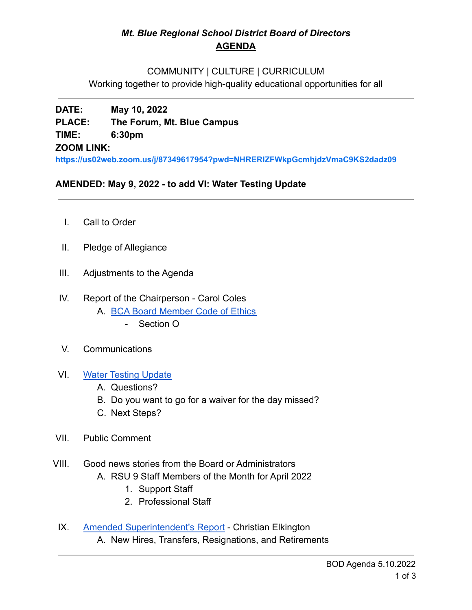# *Mt. Blue Regional School District Board of Directors* **AGENDA**

#### COMMUNITY | CULTURE | CURRICULUM

Working together to provide high-quality educational opportunities for all

# **DATE: May 10, 2022 PLACE: The Forum, Mt. Blue Campus TIME: 6:30pm ZOOM LINK:**

**<https://us02web.zoom.us/j/87349617954?pwd=NHRERlZFWkpGcmhjdzVmaC9KS2dadz09>**

## **AMENDED: May 9, 2022 - to add VI: Water Testing Update**

- I. Call to Order
- II. Pledge of Allegiance
- III. Adjustments to the Agenda
- IV. Report of the Chairperson Carol Coles A. [BCA Board Member Code of Ethics](https://cdn.branchcms.com/yeQ4XpK43n-1155/docs/district/board-of-directors/policy-manual/section-b/BCA-Board-Member-Code-of-Ethics.pdf)
	- Section O
- V. Communications
- VI. [Water Testing Update](https://www.mtbluersd.org/school-lead-sampling)
	- A. Questions?
	- B. Do you want to go for a waiver for the day missed?
	- C. Next Steps?
- VII. Public Comment

## VIII. Good news stories from the Board or Administrators

- A. RSU 9 Staff Members of the Month for April 2022
	- 1. Support Staff
	- 2. Professional Staff
- IX. [Amended Superintendent's Report](https://drive.google.com/file/d/19VwXPFCDcOV2H6Gj3i-xc3g5q9CA5RCA/view?usp=sharing) Christian Elkington A. New Hires, Transfers, Resignations, and Retirements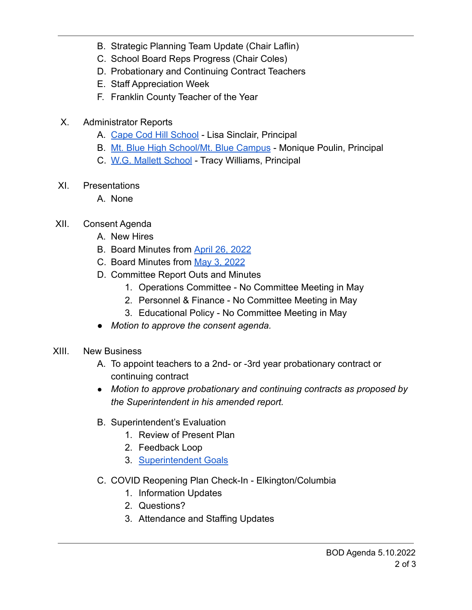- B. Strategic Planning Team Update (Chair Laflin)
- C. School Board Reps Progress (Chair Coles)
- D. Probationary and Continuing Contract Teachers
- E. Staff Appreciation Week
- F. Franklin County Teacher of the Year
- X. Administrator Reports
	- A. [Cape Cod Hill School](https://drive.google.com/file/d/1WmrmhSAYrwRbB7mQGrVZVSwz8toobtQH/view?usp=sharing) Lisa Sinclair, Principal
	- B. [Mt. Blue High School/Mt. Blue Campus](https://drive.google.com/file/d/10iqypC0YclemR0nOyhJI7Z4WNOh3NNY7/view?usp=sharing) Monique Poulin, Principal
	- C. [W.G. Mallett School](https://drive.google.com/file/d/1Vk5Sb3qjZYVqJh49cXj03WhIFFRaLmV4/view?usp=sharing) Tracy Williams, Principal
- XI. Presentations
	- A. None
- XII. Consent Agenda
	- A. New Hires
	- B. Board Minutes from [April 26, 2022](https://drive.google.com/file/d/1LDT5EtS3Bve2uwkxKbtsmjYA4sbRuIRq/view?usp=sharing)
	- C. Board Minutes from [May 3, 2022](https://drive.google.com/file/d/11Lq7Ns-u5o_sPNoPMfoSBOj-3J1F0h_q/view?usp=sharing)
	- D. Committee Report Outs and Minutes
		- 1. Operations Committee No Committee Meeting in May
		- 2. Personnel & Finance No Committee Meeting in May
		- 3. Educational Policy No Committee Meeting in May
	- *Motion to approve the consent agenda.*
- XIII. New Business
	- A. To appoint teachers to a 2nd- or -3rd year probationary contract or continuing contract
	- *● Motion to approve probationary and continuing contracts as proposed by the Superintendent in his amended report.*
	- B. Superintendent's Evaluation
		- 1. Review of Present Plan
		- 2. Feedback Loop
		- 3. [Superintendent Goals](https://drive.google.com/file/d/1pv772T8BbylrsYdPzoCTRu-JQAGYBIlx/view?usp=sharing)
	- C. COVID Reopening Plan Check-In Elkington/Columbia
		- 1. Information Updates
		- 2. Questions?
		- 3. Attendance and Staffing Updates